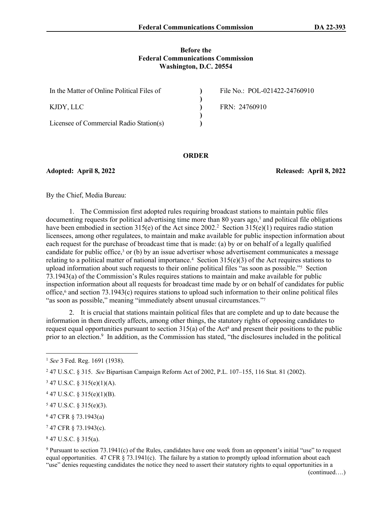### **Before the Federal Communications Commission Washington, D.C. 20554**

| In the Matter of Online Political Files of | File No.: POL-021422-24760910 |
|--------------------------------------------|-------------------------------|
| KJDY. LLC                                  | FRN: 24760910                 |
|                                            |                               |
| Licensee of Commercial Radio Station(s)    |                               |

#### **ORDER**

**Adopted: April 8, 2022 Released: April 8, 2022**

By the Chief, Media Bureau:

1. The Commission first adopted rules requiring broadcast stations to maintain public files  $d$ ocumenting requests for political advertising time more than 80 years ago,<sup>1</sup> and political file obligations have been embodied in section 315(e) of the Act since 2002.<sup>2</sup> Section 315(e)(1) requires radio station licensees, among other regulatees, to maintain and make available for public inspection information about each request for the purchase of broadcast time that is made: (a) by or on behalf of a legally qualified candidate for public office,<sup>3</sup> or (b) by an issue advertiser whose advertisement communicates a message relating to a political matter of national importance.<sup>4</sup> Section  $315(e)(3)$  of the Act requires stations to upload information about such requests to their online political files "as soon as possible."<sup>5</sup> Section 73.1943(a) of the Commission's Rules requires stations to maintain and make available for public inspection information about all requests for broadcast time made by or on behalf of candidates for public office,<sup>6</sup> and section 73.1943(c) requires stations to upload such information to their online political files "as soon as possible," meaning "immediately absent unusual circumstances."<sup>7</sup>

2. It is crucial that stations maintain political files that are complete and up to date because the information in them directly affects, among other things, the statutory rights of opposing candidates to request equal opportunities pursuant to section  $315(a)$  of the Act<sup>8</sup> and present their positions to the public prior to an election.<sup>9</sup> In addition, as the Commission has stated, "the disclosures included in the political

- $547$  U.S.C. § 315(e)(3).
- 6 47 CFR § 73.1943(a)
- 7 47 CFR § 73.1943(c).

8 47 U.S.C. § 315(a).

9 Pursuant to section 73.1941(c) of the Rules, candidates have one week from an opponent's initial "use" to request equal opportunities. 47 CFR  $\S$  73.1941(c). The failure by a station to promptly upload information about each "use" denies requesting candidates the notice they need to assert their statutory rights to equal opportunities in a

<sup>1</sup> *See* 3 Fed. Reg. 1691 (1938).

<sup>2</sup> 47 U.S.C. § 315. *See* Bipartisan Campaign Reform Act of 2002, P.L. 107–155, 116 Stat. 81 (2002).

 $347$  U.S.C. § 315(e)(1)(A).

 $447$  U.S.C. § 315(e)(1)(B).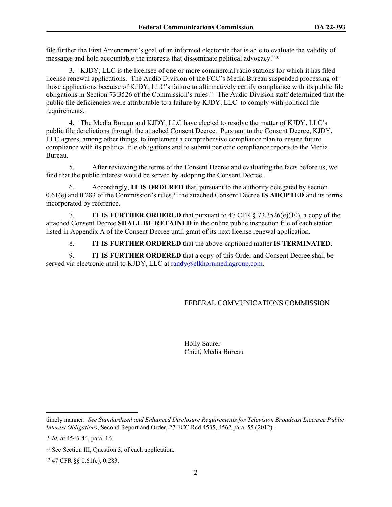file further the First Amendment's goal of an informed electorate that is able to evaluate the validity of messages and hold accountable the interests that disseminate political advocacy."<sup>10</sup>

3. KJDY, LLC is the licensee of one or more commercial radio stations for which it has filed license renewal applications. The Audio Division of the FCC's Media Bureau suspended processing of those applications because of KJDY, LLC's failure to affirmatively certify compliance with its public file obligations in Section 73.3526 of the Commission's rules.11 The Audio Division staff determined that the public file deficiencies were attributable to a failure by KJDY, LLC to comply with political file requirements.

4. The Media Bureau and KJDY, LLC have elected to resolve the matter of KJDY, LLC's public file derelictions through the attached Consent Decree. Pursuant to the Consent Decree, KJDY, LLC agrees, among other things, to implement a comprehensive compliance plan to ensure future compliance with its political file obligations and to submit periodic compliance reports to the Media Bureau.

5. After reviewing the terms of the Consent Decree and evaluating the facts before us, we find that the public interest would be served by adopting the Consent Decree.

6. Accordingly, **IT IS ORDERED** that, pursuant to the authority delegated by section 0.61(e) and 0.283 of the Commission's rules,12 the attached Consent Decree **IS ADOPTED** and its terms incorporated by reference.

7. **IT IS FURTHER ORDERED** that pursuant to 47 CFR § 73.3526(e)(10), a copy of the attached Consent Decree **SHALL BE RETAINED** in the online public inspection file of each station listed in Appendix A of the Consent Decree until grant of its next license renewal application.

8. **IT IS FURTHER ORDERED** that the above-captioned matter **IS TERMINATED**.

9. **IT IS FURTHER ORDERED** that a copy of this Order and Consent Decree shall be served via electronic mail to KJDY, LLC at [randy@elkhornmediagroup.com](mailto:randy@elkhornmediagroup.com).

# FEDERAL COMMUNICATIONS COMMISSION

Holly Saurer Chief, Media Bureau

timely manner. *See Standardized and Enhanced Disclosure Requirements for Television Broadcast Licensee Public Interest Obligations*, Second Report and Order, 27 FCC Rcd 4535, 4562 para. 55 (2012).

<sup>10</sup> *Id.* at 4543-44, para. 16.

<sup>&</sup>lt;sup>11</sup> See Section III, Question 3, of each application.

<sup>12</sup> 47 CFR §§ 0.61(e), 0.283.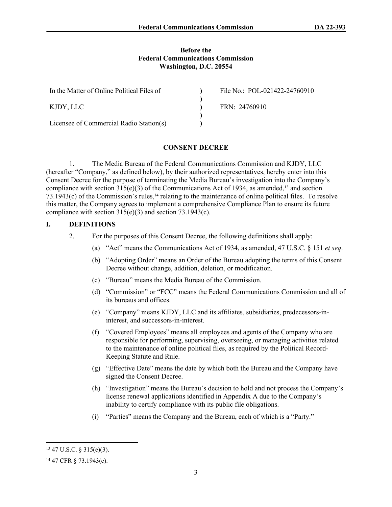### **Before the Federal Communications Commission Washington, D.C. 20554**

| In the Matter of Online Political Files of | File No.: POL-021422-24760910 |
|--------------------------------------------|-------------------------------|
|                                            |                               |
| KJDY, LLC                                  | FRN: 24760910                 |
|                                            |                               |
| Licensee of Commercial Radio Station(s)    |                               |

# **CONSENT DECREE**

1. The Media Bureau of the Federal Communications Commission and KJDY, LLC (hereafter "Company," as defined below), by their authorized representatives, hereby enter into this Consent Decree for the purpose of terminating the Media Bureau's investigation into the Company's compliance with section  $315(e)(3)$  of the Communications Act of 1934, as amended,<sup>13</sup> and section  $73.1943(c)$  of the Commission's rules,<sup>14</sup> relating to the maintenance of online political files. To resolve this matter, the Company agrees to implement a comprehensive Compliance Plan to ensure its future compliance with section  $315(e)(3)$  and section  $73.1943(c)$ .

## **I. DEFINITIONS**

- 2. For the purposes of this Consent Decree, the following definitions shall apply:
	- (a) "Act" means the Communications Act of 1934, as amended, 47 U.S.C. § 151 *et seq*.
	- (b) "Adopting Order" means an Order of the Bureau adopting the terms of this Consent Decree without change, addition, deletion, or modification.
	- (c) "Bureau" means the Media Bureau of the Commission.
	- (d) "Commission" or "FCC" means the Federal Communications Commission and all of its bureaus and offices.
	- (e) "Company" means KJDY, LLC and its affiliates, subsidiaries, predecessors-ininterest, and successors-in-interest.
	- (f) "Covered Employees" means all employees and agents of the Company who are responsible for performing, supervising, overseeing, or managing activities related to the maintenance of online political files, as required by the Political Record-Keeping Statute and Rule.
	- (g) "Effective Date" means the date by which both the Bureau and the Company have signed the Consent Decree.
	- (h) "Investigation" means the Bureau's decision to hold and not process the Company's license renewal applications identified in Appendix A due to the Company's inability to certify compliance with its public file obligations.
	- (i) "Parties" means the Company and the Bureau, each of which is a "Party."

<sup>13</sup> 47 U.S.C. § 315(e)(3).

<sup>14</sup> 47 CFR § 73.1943(c).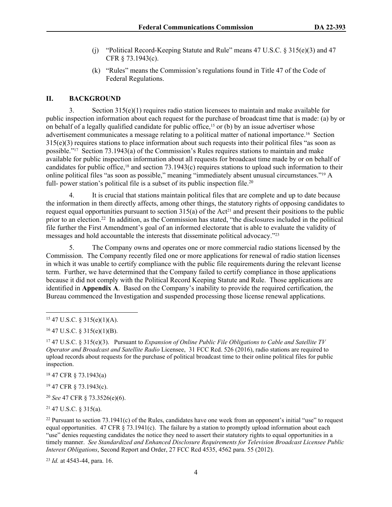- (j) "Political Record-Keeping Statute and Rule" means  $47 \text{ U.S.C. }$  §  $315(e)(3)$  and  $47$ CFR § 73.1943(c).
- (k) "Rules" means the Commission's regulations found in Title 47 of the Code of Federal Regulations.

# **II. BACKGROUND**

3. Section 315(e)(1) requires radio station licensees to maintain and make available for public inspection information about each request for the purchase of broadcast time that is made: (a) by or on behalf of a legally qualified candidate for public office,<sup>15</sup> or (b) by an issue advertiser whose advertisement communicates a message relating to a political matter of national importance.16 Section 315(e)(3) requires stations to place information about such requests into their political files "as soon as possible."17 Section 73.1943(a) of the Commission's Rules requires stations to maintain and make available for public inspection information about all requests for broadcast time made by or on behalf of candidates for public office,18 and section 73.1943(c) requires stations to upload such information to their online political files "as soon as possible," meaning "immediately absent unusual circumstances."19 A full- power station's political file is a subset of its public inspection file.<sup>20</sup>

4. It is crucial that stations maintain political files that are complete and up to date because the information in them directly affects, among other things, the statutory rights of opposing candidates to request equal opportunities pursuant to section  $315(a)$  of the Act<sup>21</sup> and present their positions to the public prior to an election.<sup>22</sup> In addition, as the Commission has stated, "the disclosures included in the political file further the First Amendment's goal of an informed electorate that is able to evaluate the validity of messages and hold accountable the interests that disseminate political advocacy."<sup>23</sup>

5. The Company owns and operates one or more commercial radio stations licensed by the Commission. The Company recently filed one or more applications for renewal of radio station licenses in which it was unable to certify compliance with the public file requirements during the relevant license term. Further, we have determined that the Company failed to certify compliance in those applications because it did not comply with the Political Record Keeping Statute and Rule. Those applications are identified in **Appendix A**. Based on the Company's inability to provide the required certification, the Bureau commenced the Investigation and suspended processing those license renewal applications.

<sup>18</sup> 47 CFR § 73.1943(a)

<sup>19</sup> 47 CFR § 73.1943(c).

<sup>20</sup> *See* 47 CFR § 73.3526(e)(6).

<sup>21</sup> 47 U.S.C. § 315(a).

<sup>23</sup> *Id.* at 4543-44, para. 16.

 $15$  47 U.S.C. § 315(e)(1)(A).

 $16$  47 U.S.C. § 315(e)(1)(B).

<sup>17</sup> 47 U.S.C. § 315(e)(3). Pursuant to *Expansion of Online Public File Obligations to Cable and Satellite TV Operator and Broadcast and Satellite Radio* Licensee, 31 FCC Rcd. 526 (2016), radio stations are required to upload records about requests for the purchase of political broadcast time to their online political files for public inspection.

<sup>&</sup>lt;sup>22</sup> Pursuant to section  $73.1941(c)$  of the Rules, candidates have one week from an opponent's initial "use" to request equal opportunities. 47 CFR  $\S$  73.1941(c). The failure by a station to promptly upload information about each "use" denies requesting candidates the notice they need to assert their statutory rights to equal opportunities in a timely manner. *See Standardized and Enhanced Disclosure Requirements for Television Broadcast Licensee Public Interest Obligations*, Second Report and Order, 27 FCC Rcd 4535, 4562 para. 55 (2012).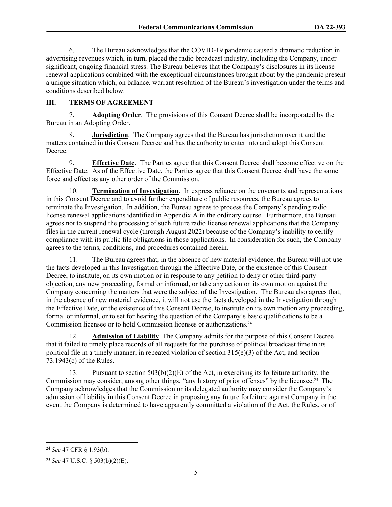6. The Bureau acknowledges that the COVID-19 pandemic caused a dramatic reduction in advertising revenues which, in turn, placed the radio broadcast industry, including the Company, under significant, ongoing financial stress. The Bureau believes that the Company's disclosures in its license renewal applications combined with the exceptional circumstances brought about by the pandemic present a unique situation which, on balance, warrant resolution of the Bureau's investigation under the terms and conditions described below.

# **III. TERMS OF AGREEMENT**

7. **Adopting Order**.The provisions of this Consent Decree shall be incorporated by the Bureau in an Adopting Order.

8. **Jurisdiction**. The Company agrees that the Bureau has jurisdiction over it and the matters contained in this Consent Decree and has the authority to enter into and adopt this Consent Decree.

9. **Effective Date**. The Parties agree that this Consent Decree shall become effective on the Effective Date. As of the Effective Date, the Parties agree that this Consent Decree shall have the same force and effect as any other order of the Commission.

10. **Termination of Investigation**.In express reliance on the covenants and representations in this Consent Decree and to avoid further expenditure of public resources, the Bureau agrees to terminate the Investigation. In addition, the Bureau agrees to process the Company's pending radio license renewal applications identified in Appendix A in the ordinary course. Furthermore, the Bureau agrees not to suspend the processing of such future radio license renewal applications that the Company files in the current renewal cycle (through August 2022) because of the Company's inability to certify compliance with its public file obligations in those applications. In consideration for such, the Company agrees to the terms, conditions, and procedures contained herein.

11. The Bureau agrees that, in the absence of new material evidence, the Bureau will not use the facts developed in this Investigation through the Effective Date, or the existence of this Consent Decree, to institute, on its own motion or in response to any petition to deny or other third-party objection, any new proceeding, formal or informal, or take any action on its own motion against the Company concerning the matters that were the subject of the Investigation. The Bureau also agrees that, in the absence of new material evidence, it will not use the facts developed in the Investigation through the Effective Date, or the existence of this Consent Decree, to institute on its own motion any proceeding, formal or informal, or to set for hearing the question of the Company's basic qualifications to be a Commission licensee or to hold Commission licenses or authorizations.<sup>24</sup>

12. **Admission of Liability**. The Company admits for the purpose of this Consent Decree that it failed to timely place records of all requests for the purchase of political broadcast time in its political file in a timely manner, in repeated violation of section 315(e)(3) of the Act, and section 73.1943(c) of the Rules.

13. Pursuant to section  $503(b)(2)(E)$  of the Act, in exercising its forfeiture authority, the Commission may consider, among other things, "any history of prior offenses" by the licensee.25 The Company acknowledges that the Commission or its delegated authority may consider the Company's admission of liability in this Consent Decree in proposing any future forfeiture against Company in the event the Company is determined to have apparently committed a violation of the Act, the Rules, or of

<sup>24</sup> *See* 47 CFR § 1.93(b).

<sup>25</sup> *See* 47 U.S.C. § 503(b)(2)(E).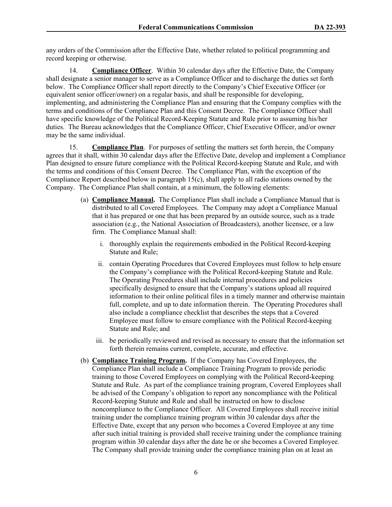any orders of the Commission after the Effective Date, whether related to political programming and record keeping or otherwise.

14. **Compliance Officer**. Within 30 calendar days after the Effective Date, the Company shall designate a senior manager to serve as a Compliance Officer and to discharge the duties set forth below. The Compliance Officer shall report directly to the Company's Chief Executive Officer (or equivalent senior officer/owner) on a regular basis, and shall be responsible for developing, implementing, and administering the Compliance Plan and ensuring that the Company complies with the terms and conditions of the Compliance Plan and this Consent Decree. The Compliance Officer shall have specific knowledge of the Political Record-Keeping Statute and Rule prior to assuming his/her duties. The Bureau acknowledges that the Compliance Officer, Chief Executive Officer, and/or owner may be the same individual.

15. **Compliance Plan**. For purposes of settling the matters set forth herein, the Company agrees that it shall, within 30 calendar days after the Effective Date, develop and implement a Compliance Plan designed to ensure future compliance with the Political Record-keeping Statute and Rule, and with the terms and conditions of this Consent Decree. The Compliance Plan, with the exception of the Compliance Report described below in paragraph 15(c), shall apply to all radio stations owned by the Company. The Compliance Plan shall contain, at a minimum, the following elements:

- (a) **Compliance Manual.** The Compliance Plan shall include a Compliance Manual that is distributed to all Covered Employees. The Company may adopt a Compliance Manual that it has prepared or one that has been prepared by an outside source, such as a trade association (e.g., the National Association of Broadcasters), another licensee, or a law firm. The Compliance Manual shall:
	- i. thoroughly explain the requirements embodied in the Political Record-keeping Statute and Rule;
	- ii. contain Operating Procedures that Covered Employees must follow to help ensure the Company's compliance with the Political Record-keeping Statute and Rule. The Operating Procedures shall include internal procedures and policies specifically designed to ensure that the Company's stations upload all required information to their online political files in a timely manner and otherwise maintain full, complete, and up to date information therein. The Operating Procedures shall also include a compliance checklist that describes the steps that a Covered Employee must follow to ensure compliance with the Political Record-keeping Statute and Rule; and
	- iii. be periodically reviewed and revised as necessary to ensure that the information set forth therein remains current, complete, accurate, and effective.
- (b) **Compliance Training Program.** If the Company has Covered Employees, the Compliance Plan shall include a Compliance Training Program to provide periodic training to those Covered Employees on complying with the Political Record-keeping Statute and Rule. As part of the compliance training program, Covered Employees shall be advised of the Company's obligation to report any noncompliance with the Political Record-keeping Statute and Rule and shall be instructed on how to disclose noncompliance to the Compliance Officer. All Covered Employees shall receive initial training under the compliance training program within 30 calendar days after the Effective Date, except that any person who becomes a Covered Employee at any time after such initial training is provided shall receive training under the compliance training program within 30 calendar days after the date he or she becomes a Covered Employee. The Company shall provide training under the compliance training plan on at least an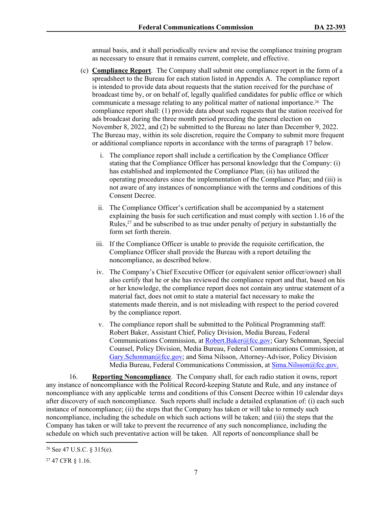annual basis, and it shall periodically review and revise the compliance training program as necessary to ensure that it remains current, complete, and effective.

- (c) **Compliance Report**. The Company shall submit one compliance report in the form of a spreadsheet to the Bureau for each station listed in Appendix A. The compliance report is intended to provide data about requests that the station received for the purchase of broadcast time by, or on behalf of, legally qualified candidates for public office or which communicate a message relating to any political matter of national importance.26 The compliance report shall: (1) provide data about such requests that the station received for ads broadcast during the three month period preceding the general election on November 8, 2022, and (2) be submitted to the Bureau no later than December 9, 2022. The Bureau may, within its sole discretion, require the Company to submit more frequent or additional compliance reports in accordance with the terms of paragraph 17 below.
	- i. The compliance report shall include a certification by the Compliance Officer stating that the Compliance Officer has personal knowledge that the Company: (i) has established and implemented the Compliance Plan; (ii) has utilized the operating procedures since the implementation of the Compliance Plan; and (iii) is not aware of any instances of noncompliance with the terms and conditions of this Consent Decree.
	- ii. The Compliance Officer's certification shall be accompanied by a statement explaining the basis for such certification and must comply with section 1.16 of the Rules, $^{27}$  and be subscribed to as true under penalty of perjury in substantially the form set forth therein.
	- iii. If the Compliance Officer is unable to provide the requisite certification, the Compliance Officer shall provide the Bureau with a report detailing the noncompliance, as described below.
	- iv. The Company's Chief Executive Officer (or equivalent senior officer/owner) shall also certify that he or she has reviewed the compliance report and that, based on his or her knowledge, the compliance report does not contain any untrue statement of a material fact, does not omit to state a material fact necessary to make the statements made therein, and is not misleading with respect to the period covered by the compliance report.
	- v. The compliance report shall be submitted to the Political Programming staff: Robert Baker, Assistant Chief, Policy Division, Media Bureau, Federal Communications Commission, at [Robert.Baker@fcc.gov](mailto:Robert.Baker@fcc.gov); Gary Schonman, Special Counsel, Policy Division, Media Bureau, Federal Communications Commission, at [Gary.Schonman@fcc.gov;](mailto:Gary.Schonman@fcc.gov) and Sima Nilsson, Attorney-Advisor, Policy Division Media Bureau, Federal Communications Commission, at [Sima.Nilsson@fcc.gov.](file://fccnet/data/Bureaus-Offices/MB/Policy/MB/Policy/POLITICAL%20PROGRAMMING/COMPLAINTS%20AND%20PETITIONS%20FOR%20RULEMAKING%20&%20DECLARATORY%20RULINGS/POLITICAL%20FILES%20-%20GROUP%20OWNERS/Consent%20Decrees/Entercom/Sima.Nilsson@fcc.gov.)

16. **Reporting Noncompliance**. The Company shall, for each radio station it owns, report any instance of noncompliance with the Political Record-keeping Statute and Rule, and any instance of noncompliance with any applicable terms and conditions of this Consent Decree within 10 calendar days after discovery of such noncompliance. Such reports shall include a detailed explanation of: (i) each such instance of noncompliance; (ii) the steps that the Company has taken or will take to remedy such noncompliance, including the schedule on which such actions will be taken; and (iii) the steps that the Company has taken or will take to prevent the recurrence of any such noncompliance, including the schedule on which such preventative action will be taken. All reports of noncompliance shall be

<sup>26</sup> See 47 U.S.C. § 315(e).

<sup>27</sup> 47 CFR § 1.16.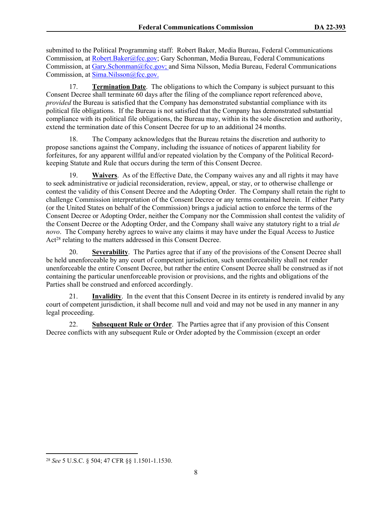submitted to the Political Programming staff: Robert Baker, Media Bureau, Federal Communications Commission, at [Robert.Baker@fcc.gov;](mailto:Robert.Baker@fcc.gov) Gary Schonman, Media Bureau, Federal Communications Commission, at [Gary.Schonman@fcc.gov;](mailto:Gary.Schonman@fcc.gov) and Sima Nilsson, Media Bureau, Federal Communications Commission, at [Sima.Nilsson@fcc.gov.](file://fccnet/data/Bureaus-Offices/MB/Policy/MB/Policy/POLITICAL%20PROGRAMMING/COMPLAINTS%20AND%20PETITIONS%20FOR%20RULEMAKING%20&%20DECLARATORY%20RULINGS/POLITICAL%20FILES%20-%20GROUP%20OWNERS/Consent%20Decrees/Entercom/Sima.Nilsson@fcc.gov.)

17. **Termination Date**. The obligations to which the Company is subject pursuant to this Consent Decree shall terminate 60 days after the filing of the compliance report referenced above, *provided* the Bureau is satisfied that the Company has demonstrated substantial compliance with its political file obligations. If the Bureau is not satisfied that the Company has demonstrated substantial compliance with its political file obligations, the Bureau may, within its the sole discretion and authority, extend the termination date of this Consent Decree for up to an additional 24 months.

18. The Company acknowledges that the Bureau retains the discretion and authority to propose sanctions against the Company, including the issuance of notices of apparent liability for forfeitures, for any apparent willful and/or repeated violation by the Company of the Political Recordkeeping Statute and Rule that occurs during the term of this Consent Decree.

19. **Waivers**. As of the Effective Date, the Company waives any and all rights it may have to seek administrative or judicial reconsideration, review, appeal, or stay, or to otherwise challenge or contest the validity of this Consent Decree and the Adopting Order. The Company shall retain the right to challenge Commission interpretation of the Consent Decree or any terms contained herein. If either Party (or the United States on behalf of the Commission) brings a judicial action to enforce the terms of the Consent Decree or Adopting Order, neither the Company nor the Commission shall contest the validity of the Consent Decree or the Adopting Order, and the Company shall waive any statutory right to a trial *de novo*. The Company hereby agrees to waive any claims it may have under the Equal Access to Justice Act<sup>28</sup> relating to the matters addressed in this Consent Decree.

20. **Severability**. The Parties agree that if any of the provisions of the Consent Decree shall be held unenforceable by any court of competent jurisdiction, such unenforceability shall not render unenforceable the entire Consent Decree, but rather the entire Consent Decree shall be construed as if not containing the particular unenforceable provision or provisions, and the rights and obligations of the Parties shall be construed and enforced accordingly.

21. **Invalidity**. In the event that this Consent Decree in its entirety is rendered invalid by any court of competent jurisdiction, it shall become null and void and may not be used in any manner in any legal proceeding.

22. **Subsequent Rule or Order**. The Parties agree that if any provision of this Consent Decree conflicts with any subsequent Rule or Order adopted by the Commission (except an order

<sup>28</sup> *See* 5 U.S.C. § 504; 47 CFR §§ 1.1501-1.1530.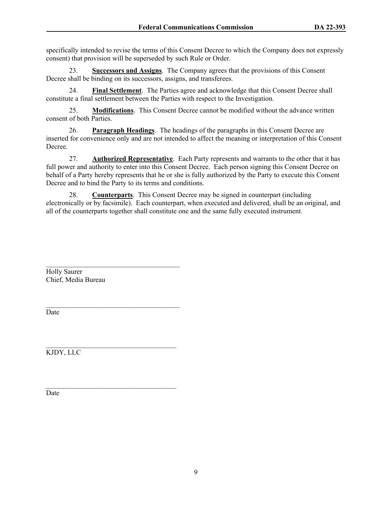specifically intended to revise the terms of this Consent Decree to which the Company does not expressly consent) that provision will be superseded by such Rule or Order.

23. **Successors and Assigns**.The Company agrees that the provisions of this Consent Decree shall be binding on its successors, assigns, and transferees.

24. **Final Settlement**. The Parties agree and acknowledge that this Consent Decree shall constitute a final settlement between the Parties with respect to the Investigation.

25. **Modifications**. This Consent Decree cannot be modified without the advance written consent of both Parties.

26. **Paragraph Headings**. The headings of the paragraphs in this Consent Decree are inserted for convenience only and are not intended to affect the meaning or interpretation of this Consent Decree.

27. **Authorized Representative**. Each Party represents and warrants to the other that it has full power and authority to enter into this Consent Decree. Each person signing this Consent Decree on behalf of a Party hereby represents that he or she is fully authorized by the Party to execute this Consent Decree and to bind the Party to its terms and conditions.

28. **Counterparts**. This Consent Decree may be signed in counterpart (including electronically or by facsimile). Each counterpart, when executed and delivered, shall be an original, and all of the counterparts together shall constitute one and the same fully executed instrument.

Holly Saurer Chief, Media Bureau

 $\mathcal{L}_\text{max}$ 

Date

 $\mathcal{L}_\text{max}$  and  $\mathcal{L}_\text{max}$  and  $\mathcal{L}_\text{max}$  and  $\mathcal{L}_\text{max}$ KJDY, LLC

Date